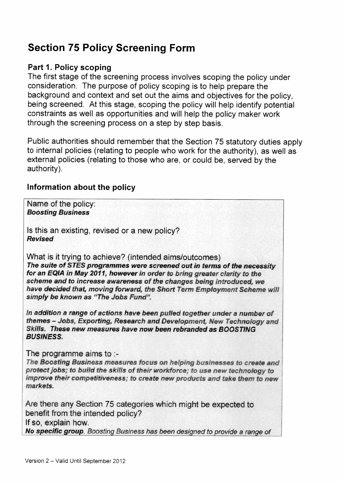# Section 75 Policy Screening Form

#### Part 1. Policy scoping

The first stage of the screening process involves scoping the policy under consideration. The purpose of policy scoping is to help prepare the background and context and set out the aims and objectives for the policy, being screened. At this stage, scoping the policy will help identify potential constraints as well as opportunities and will help the policy maker work through the screening process on a step by step basis.

Public authorities should remember that the Section 75 statutory duties apply to internal policies (relating to people who work for the authority), as well as external policies (relating to those who are, or could be, served by the authority).

#### Information about the policy

Name of the policy: Boosting Business

Is this an existing, revised or a new policy? Revised

What is it trying to achieve? (intended aims/outcomes) The suite of STES programmes were screened out in terms of the necessity<br>for an EQIA in May 2011, however in order to bring greater clarity to the scheme and to increase awareness of the changes being introduced, we simply be known as "The Jobs Fund". have decided that, moving forward, the Short Term Employment Scheme will ed aims/outcomes)<br>creened out in terms of the necessity<br>rder to bring greater clarity to the<br>the changes being introduced, we<br>Broot Term Employment Scheme will

In addition a range of actions have been pulled together under a number of themes - Jobs, Exporting, Research and Development, New Technology and Skills. These new measures have now been rebranded as BOOSTING BUSINESS.

The programme aims to :-

The Boosting Business measures focus on helping businesses to create and protect jobs; to build the skills of their workforce; to use new technology to improve their competitiveness; to create new products and take them to new markets

Are there any Section 75 categories which might be expected to benefit from the intended policy? If so. explain how. No specific group. Boosting Business has been designed to provide a range of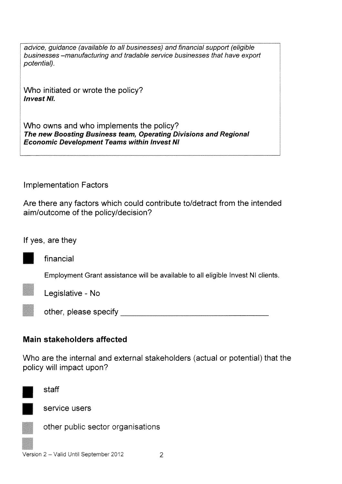advice, guidance (available to all businesses) and financial support (eligible businesses –manufacturing and tradable service businesses that have export potential).

Who initiated or wrote the policy? Invest NI.

Who owns and who implements the policy? The new Boosting Business team, Operating Divisions and Regional Economic Development Teams within Invest NI

Implementation Factors

Are there any factors which could contribute to/detract from the intended aim/outcome of the policy/decision?

If yes, are they

financial

Employment Grant assistance will be available to all eligible Invest NI clients.



Legislative - No

other, please specify

#### Main stakeholders affected

Who are the internal and external stakeholders (actual or potential) that the policy will impact upon?



staff

service users

other public sector organisations

Version 2 – Valid Until September 2012 2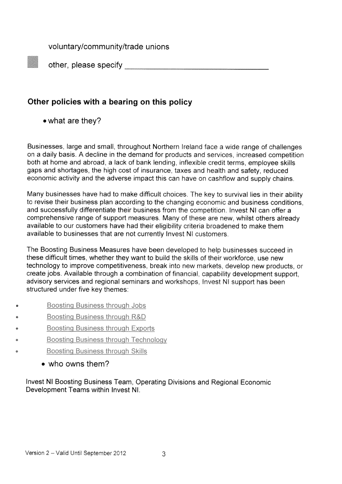#### voluntary/community/trade unions

other, please specify

### Other policies with a bearing on this policy

• what are they?

Businesses, large and small, throughout Northern Ireland face a wide range of challenges on a daily basis. A decline in the demand for products and services, increased competition both at home and abroad, a lack of bank lending inflexible credit terms, employee skills gaps and shortages, the high cost of insurance, taxes and health and safety, reduced economic activity and the adverse impact this can have on cashflow and supply chains.

Many businesses have had to make difficult choices, The key to survival lies in their ability to revise their business plan according to the changing economic and business conditions. and successfully differentiate their business from the competition. Invest NI can offer a comprehensive range of support measures. Many of these are new, whilst others already available to our customers have had their eligibility criteria broadened to make them available to businesses that are not currently Invest NI customers.

The Boosting Business Measures have been developed to help businesses succeed in these difficult times, whether they want to build the skills of their workforce, use new technology to improve competitiveness, break into new markets, develop new products, or create jobs. Available through a combination of financial, capability development support. advisory services and regional seminars and workshops. Invest NI support has been structured under five key themes.

- **Boosting Business through Jobs**
- **Boosting Business through R&D**
- **Boosting Business through Exports**
- **Boosting Business through Technology**
- **Boosting Business through Skills** 
	- who owns them?

Invest NI Boosting Business Team, Operating Divisions and Regional Economic Development Teams within Invest NI.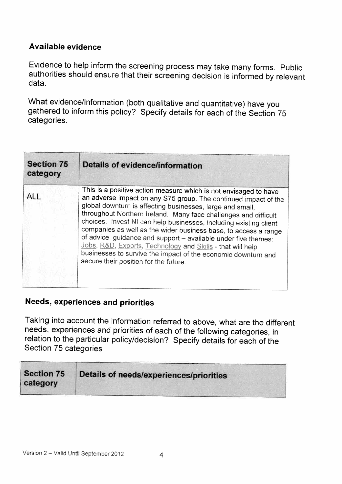#### Available evidence

Evidence to help inform the screening process may take many forms. Public authorities should ensure that their screening decision is informed by relevant data.

What evidence/information (both qualitative and quantitative) have you gathered to inform this policy? Specify details for each of the Section <sup>75</sup> categories.

| <b>Section 75</b><br>category | <b>Details of evidence/information</b>                                                                                                                                                                                                                                                                                                                                                                                                                                                                                                                                                                                                                |  |
|-------------------------------|-------------------------------------------------------------------------------------------------------------------------------------------------------------------------------------------------------------------------------------------------------------------------------------------------------------------------------------------------------------------------------------------------------------------------------------------------------------------------------------------------------------------------------------------------------------------------------------------------------------------------------------------------------|--|
| <b>ALL</b>                    | This is a positive action measure which is not envisaged to have<br>an adverse impact on any S75 group. The continued impact of the<br>global downturn is affecting businesses, large and small.<br>throughout Northern Ireland. Many face challenges and difficult<br>choices. Invest NI can help businesses, including existing client<br>companies as well as the wider business base, to access a range<br>of advice, guidance and support - available under five themes:<br>Jobs, R&D, Exports, Technology and Skills - that will help<br>businesses to survive the impact of the economic downturn and<br>secure their position for the future. |  |

## Needs, experiences and priorities

Taking into account the information referred to above, what are the different needs, experiences and priorities of each of the following categories, in relation to the particular policy/decision? Specify details for each of the Section 75 categories

| <b>Section 75</b> | Details of needs/experiences/priorities |
|-------------------|-----------------------------------------|
| category          |                                         |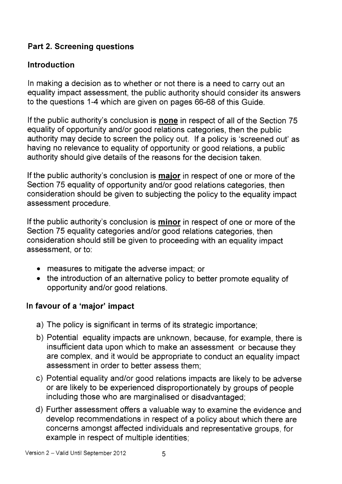## Part 2. Screening questions

#### Introduction

In making a decision as to whether or not there is a need to carry out an equality impact assessment, the public authority should consider its answers to the questions 1-4 which are given on pages 66-68 of this Guide.

If the public authority's conclusion is none in respect of all of the Section 75 equality of opportunity and/or good relations categories, then the public authority may decide to screen the policy out. If a policy is 'screened out' as having no relevance to equality of opportunity or good relations, a public authority should give details of the reasons for the decision taken.

If the public authority's conclusion is major in respect of one or more of the Section 75 equality of opportunity and/or good relations categories, then consideration should be given to subjecting the policy to the equality impact assessment procedure.

If the public authority's conclusion is minor in respect of one or more of the Section 75 equality categories and/or good relations categories, then consideration should still be given to proceeding with an equality impact assessment, or to:

- measures to mitigate the adverse impact; or
- the introduction of an alternative policy to better promote equality of opportunity and/or good relations.

#### In favour of a 'major' impact

- a) The policy is significant in terms of its strategic importance;
- b) Potential equality impacts are unknown, because, for example, there is insufficient data upon which to make an assessment or because they are complex, and it would be appropriate to conduct an equality impact assessment in order to better assess them;
- c) Potential equality and/or good relations impacts are likely to be adverse or are likely to be experienced disproportionately by groups of people including those who are marginalised or disadvantaged;
- d) Further assessment offers a valuable way to examine the evidence and develop recommendations in respect of a policy about which there are concerns amongst affected individuals and representative groups, for example in respect of multiple identities;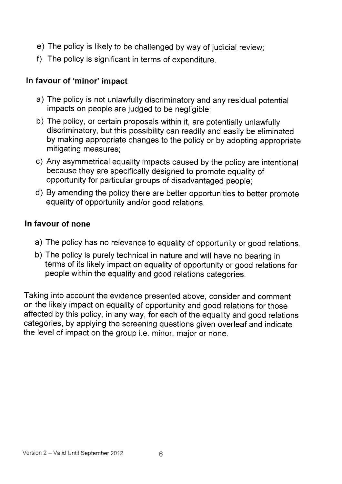- e) The policy is likely to be challenged by way of judicial review;
- f) The policy is significant in terms of expenditure.

### In favour of 'minor' impact

- a) The policy is not unlawfully discriminatory and any residual potential impacts on people are judged to be negligible;
- b) The policy, or certain proposals within it, are potentially unlawfully discriminatory, but this possibility can readily and easily be eliminated by making appropriate changes to the policy or by adopting appropriate mitigating measures;
- c) Any asymmetrical equality impacts caused by the policy are intentional because they are specifically designed to promote equality of opportunity for particular groups of disadvantaged people;
- d) By amending the policy there are better opportunities to better promote equality of opportunity and/or good relations.

#### In favour of none

- a) The policy has no relevance to equality of opportunity or good relations.
- b) The policy is purely technical in nature and will have no bearing in terms of its likely impact on equality of opportunity or good relations for people within the equality and good relations categories.

Taking into account the evidence presented above, consider and comment on the likely impact on equality of opportunity and good relations for those affected by this policy, in any way, for each of the equality and good relations categories, by applying the screening questions <sup>g</sup>iven overleaf and indicate the level of impact on the group i.e. minor, major or none.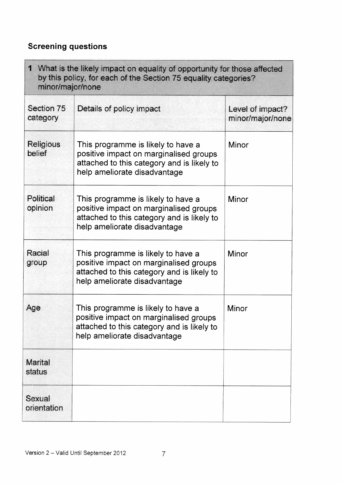## Screening questions

| What is the likely impact on equality of opportunity for those affected<br>1<br>by this policy, for each of the Section 75 equality categories?<br>minor/major/none |                                                                                                                                                            |                                      |
|---------------------------------------------------------------------------------------------------------------------------------------------------------------------|------------------------------------------------------------------------------------------------------------------------------------------------------------|--------------------------------------|
| Section 75<br>category                                                                                                                                              | Details of policy impact                                                                                                                                   | Level of impact?<br>minor/major/none |
| Religious<br>belief                                                                                                                                                 | This programme is likely to have a<br>positive impact on marginalised groups<br>attached to this category and is likely to<br>help ameliorate disadvantage | Minor                                |
| Political<br>opinion                                                                                                                                                | This programme is likely to have a<br>positive impact on marginalised groups<br>attached to this category and is likely to<br>help ameliorate disadvantage | Minor                                |
| Racial<br>group                                                                                                                                                     | This programme is likely to have a<br>positive impact on marginalised groups<br>attached to this category and is likely to<br>help ameliorate disadvantage | Minor                                |
| Age                                                                                                                                                                 | This programme is likely to have a<br>positive impact on marginalised groups<br>attached to this category and is likely to<br>help ameliorate disadvantage | <b>Minor</b>                         |
| <b>Marital</b><br>status                                                                                                                                            |                                                                                                                                                            |                                      |
| Sexual<br>orientation                                                                                                                                               |                                                                                                                                                            |                                      |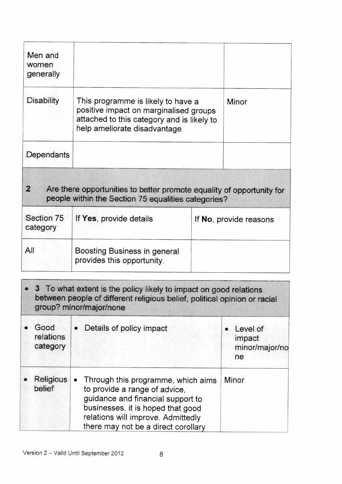| Men and<br>women<br>generally                                                                                                                |                                                                                                                                                            |                        |  |  |
|----------------------------------------------------------------------------------------------------------------------------------------------|------------------------------------------------------------------------------------------------------------------------------------------------------------|------------------------|--|--|
| Disability                                                                                                                                   | This programme is likely to have a<br>positive impact on marginalised groups<br>attached to this category and is likely to<br>help ameliorate disadvantage | Minor                  |  |  |
| Dependants                                                                                                                                   |                                                                                                                                                            |                        |  |  |
| $\mathbf{2}$<br>Are there opportunities to better promote equality of opportunity for<br>people within the Section 75 equalities categories? |                                                                                                                                                            |                        |  |  |
| Section 75<br>category                                                                                                                       | If Yes, provide details                                                                                                                                    | If No, provide reasons |  |  |
| All                                                                                                                                          | Boosting Business in general<br>provides this opportunity.                                                                                                 |                        |  |  |

| 3 To what extent is the policy likely to impact on good relations<br>between people of different religious belief, political opinion or racial<br>group? minor/major/none |                                                                                                                                                                                                                            |                                            |
|---------------------------------------------------------------------------------------------------------------------------------------------------------------------------|----------------------------------------------------------------------------------------------------------------------------------------------------------------------------------------------------------------------------|--------------------------------------------|
| Good<br>relations<br>category                                                                                                                                             | Details of policy impact                                                                                                                                                                                                   | Level of<br>impact<br>minor/major/no<br>ne |
| <b>Religious</b><br>belief                                                                                                                                                | Through this programme, which aims<br>to provide a range of advice,<br>guidance and financial support to<br>businesses, it is hoped that good<br>relations will improve. Admittedly<br>there may not be a direct corollary | Minor                                      |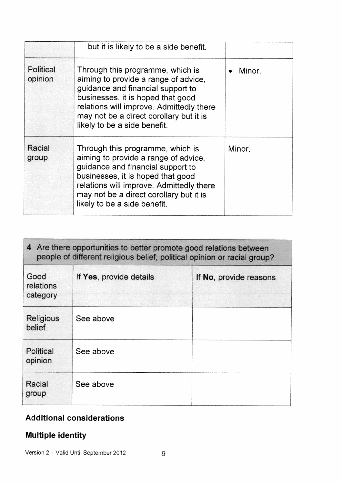|                      | but it is likely to be a side benefit.                                                                                                                                                                                                                                    |        |
|----------------------|---------------------------------------------------------------------------------------------------------------------------------------------------------------------------------------------------------------------------------------------------------------------------|--------|
| Political<br>opinion | Through this programme, which is<br>aiming to provide a range of advice,<br>guidance and financial support to<br>businesses, it is hoped that good<br>relations will improve. Admittedly there<br>may not be a direct corollary but it is<br>likely to be a side benefit. | Minor. |
| Racial<br>group      | Through this programme, which is<br>aiming to provide a range of advice,<br>guidance and financial support to<br>businesses, it is hoped that good<br>relations will improve. Admittedly there<br>may not be a direct corollary but it is<br>likely to be a side benefit. | Minor. |

| 4 Are there opportunities to better promote good relations between<br>people of different religious belief, political opinion or racial group? |                         |                        |  |
|------------------------------------------------------------------------------------------------------------------------------------------------|-------------------------|------------------------|--|
| Good<br>relations<br>category                                                                                                                  | If Yes, provide details | If No. provide reasons |  |
| Religious<br>belief                                                                                                                            | See above               |                        |  |
| Political<br>opinion                                                                                                                           | See above               |                        |  |
| Racial<br>group                                                                                                                                | See above               |                        |  |

# Additional considerations

## Multiple identity

Version 2 – Valid Until September 2012 9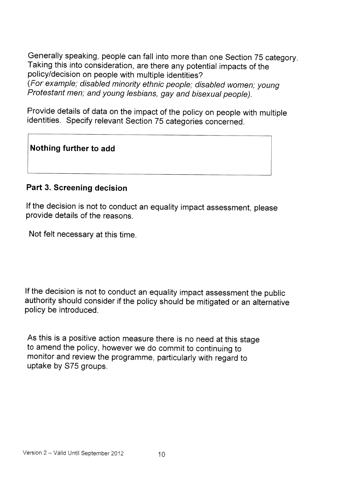Generally speaking, people can fall into more than one Section <sup>75</sup> category. Taking this into consideration, are there any potential impacts of the policy/decision on people with multiple identities? (For example; disabled minority ethnic people; disabled women; young Protestant men; and young lesbians, gay and bisexual people).

Provide details of data on the impact of the policy on people with multiple identities. Specify relevant Section <sup>75</sup> categories concerned.

#### Nothing further to add

#### Part 3. Screening decision

If the decision is not to conduct an equality impact assessment, <sup>p</sup>lease provide details of the reasons.

Not felt necessary at this time.

If the decision is not to conduct an equality impact assessment the public authority should consider if the policy should be mitigated or an alternative policy be introduced.

As this is <sup>a</sup> positive action measure there is no need at this stage to amend the policy, however we do commit to continuing to monitor and review the programme, particularly with regard to uptake by S75 groups.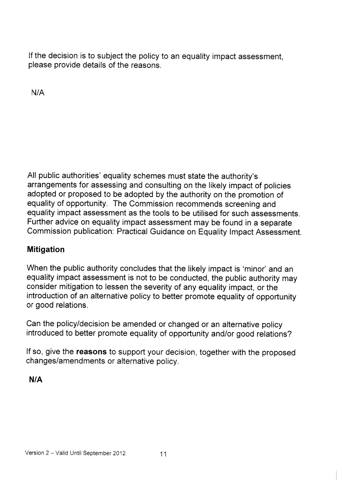If the decision is to subject the policy to an equality impact assessment. please provide details of the reasons.

N/A

All public authorities' equality schemes must state the authority's arrangements for assessing and consulting on the likely impact of policies adopted or proposed to be adopted by the authority on the promotion of equality of opportunity. The Commission recommends screening and equality impact assessment as the tools to be utilised for such assessments. Further advice on equality impact assessment may be found in <sup>a</sup> separate Commission publication: Practical Guidance on Equality Impact Assessment.

## Mitigation

When the public authority concludes that the likely impact is 'minor' and an equality impact assessment is not to be conducted, the public authority may consider mitigation to lessen the severity of any equality impact, or the introduction of an alternative policy to better promote equality of opportunity or good relations.

Can the policy/decision be amended or changed or an alternative policy introduced to better promote equality of opportunity and/or good relations?

If so, <sup>g</sup>ive the reasons to support your decision, together with the proposed changes/amendments or alternative policy.

#### N/A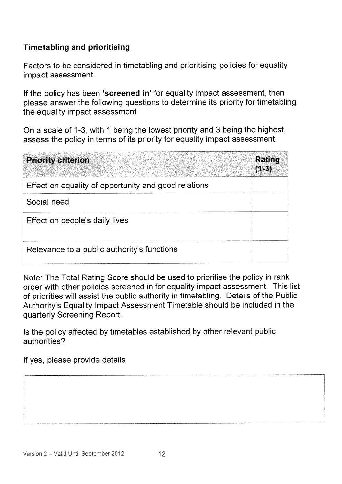### Timetabling and prioritising

Factors to be considered in timetabling and prioritising policies for equality impact assessment.

If the policy has been 'screened in' for equality impact assessment, then please answer the following questions to determine its priority for timetabling the equality impact assessment.

On a scale of 1-3, with <sup>1</sup> being the lowest priority and 3 being the highest, assess the policy in terms of its priority for equality impact assessment.

| <b>Priority criterion</b>                            | <b>Rating</b><br>$(1-3)$ |
|------------------------------------------------------|--------------------------|
| Effect on equality of opportunity and good relations |                          |
| Social need                                          |                          |
| Effect on people's daily lives                       |                          |
| Relevance to a public authority's functions          |                          |

Note: The Total Rating Score should be used to prioritise the policy in rank order with other policies screened in for equality impact assessment. This list of priorities will assist the public authority in timetabling. Details of the Public Authority's Equality Impact Assessment Timetable should be included in the quarterly Screening Report.

Is the policy affected by timetables established by other relevant public authorities?

If yes, please provide details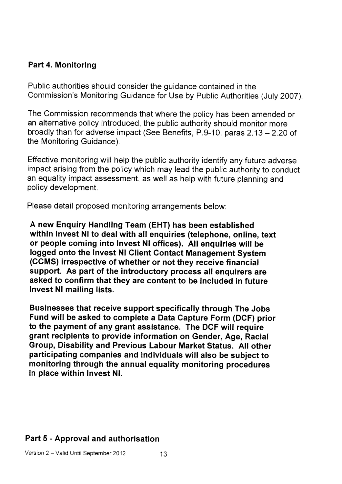#### Part 4. Monitoring

Public authorities should consider the guidance contained in the Commission's Monitoring Guidance for Use by Public Authorities (July 2007).

The Commission recommends that where the policy has been amended or an alternative policy introduced, the public authority should monitor more broadly than for adverse impact (See Benefits, P.9-10, paras 2.13 —2.20 of the Monitoring Guidance).

Effective monitoring will help the public authority identify any future adverse impact arising from the policy which may lead the public authority to conduct an equality impact assessment, as well as help with future planning and policy development.

Please detail proposed monitoring arrangements below:

A new Enquiry Handling Team (EHT) has been established within Invest NI to deal with all enquiries (telephone, online, text or people coming into Invest NI offices). All enquiries will be logged onto the Invest NI Client Contact Management System (CCMS) irrespective of whether or not they receive financial support. As part of the introductory process all enquirers are asked to confirm that they are content to be included in future Invest NI mailing lists.

Businesses that receive support specifically through The Jobs Fund will be asked to complete a Data Capture Form (DCF) prior to the payment of any grant assistance. The DCF will require grant recipients to provide information on Gender, Age, Racial Group, Disability and Previous Labour Market Status. All other participating companies and individuals will also be subject to monitoring through the annual equality monitoring procedures in place within Invest NI.

#### Part 5 - Approval and authorisation